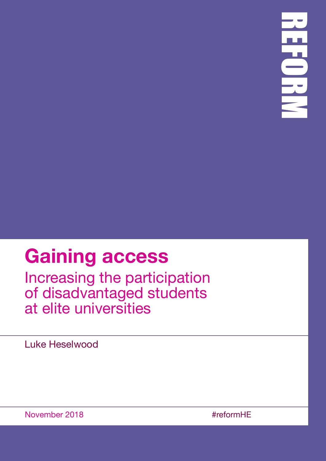## **Gaining access**

Increasing the participation of disadvantaged students at elite universities

Luke Heselwood

November 2018 #reformHE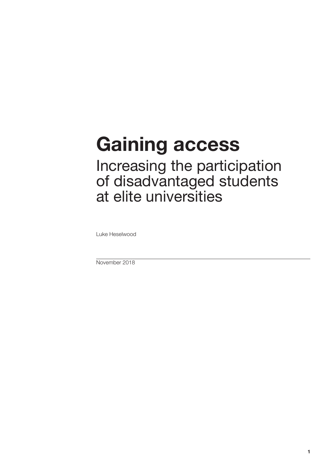# **Gaining access**

Increasing the participation of disadvantaged students at elite universities

Luke Heselwood

November 2018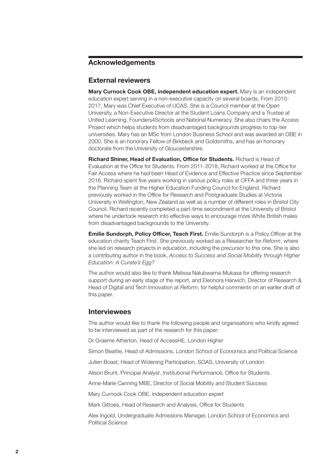#### **Acknowledgements**

#### **External reviewers**

**Mary Curnock Cook OBE, independent education expert.** Mary is an independent education expert serving in a non-executive capacity on several boards. From 2010- 2017, Mary was Chief Executive of UCAS. She is a Council member at the Open University, a Non-Executive Director at the Student Loans Company and a Trustee at United Learning, Founders4Schools and National Numeracy. She also chairs the Access Project which helps students from disadvantaged backgrounds progress to top-tier universities. Mary has an MSc from London Business School and was awarded an OBE in 2000. She is an honorary Fellow of Birkbeck and Goldsmiths, and has an honorary doctorate from the University of Gloucestershire.

**Richard Shiner, Head of Evaluation, Office for Students.** Richard is Head of Evaluation at the Office for Students. From 2011-2018, Richard worked at the Office for Fair Access where he had been Head of Evidence and Effective Practice since September 2016. Richard spent five years working in various policy roles at OFFA and three years in the Planning Team at the Higher Education Funding Council for England. Richard previously worked in the Office for Research and Postgraduate Studies at Victoria University in Wellington, New Zealand as well as a number of different roles in Bristol City Council. Richard recently completed a part-time secondment at the University of Bristol where he undertook research into effective ways to encourage more White British males from disadvantaged backgrounds to the University.

**Emilie Sundorph, Policy Officer, Teach First.** Emilie Sundorph is a Policy Officer at the education charity Teach First. She previously worked as a Researcher for *Reform*, where she led on research projects in education, including the precursor to this one. She is also a contributing author in the book, *Access to Success and Social Mobility through Higher Education: A Curate's Egg?*

The author would also like to thank Melissa Nalubwama-Mukasa for offering research support during an early stage of the report, and Eleonora Harwich, Director of Research & Head of Digital and Tech Innovation at *Reform*, for helpful comments on an earlier draft of this paper.

#### **Interviewees**

The author would like to thank the following people and organisations who kindly agreed to be interviewed as part of the research for this paper:

Dr Graeme Atherton, Head of AccessHE, London Higher

Simon Beattie, Head of Admissions, London School of Economics and Political Science

Julien Boast, Head of Widening Participation, SOAS, University of London

Alison Brunt, Principal Analyst, Institutional Performance, Office for Students

Anne-Marie Canning MBE, Director of Social Mobility and Student Success

Mary Curnock Cook OBE, independent education expert

Mark Gittoes, Head of Research and Analysis, Office for Students

Alex Ingold, Undergraduate Admissions Manager, London School of Economics and Political Science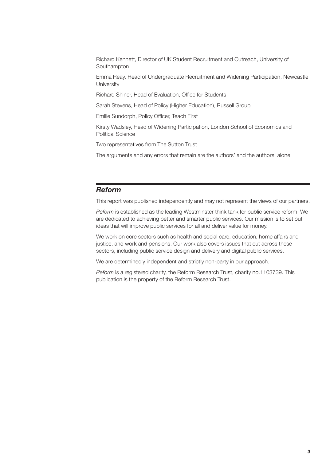Richard Kennett, Director of UK Student Recruitment and Outreach, University of Southampton

Emma Reay, Head of Undergraduate Recruitment and Widening Participation, Newcastle **University** 

Richard Shiner, Head of Evaluation, Office for Students

Sarah Stevens, Head of Policy (Higher Education), Russell Group

Emilie Sundorph, Policy Officer, Teach First

Kirsty Wadsley, Head of Widening Participation, London School of Economics and Political Science

Two representatives from The Sutton Trust

The arguments and any errors that remain are the authors' and the authors' alone.

#### *Reform*

This report was published independently and may not represent the views of our partners.

*Reform* is established as the leading Westminster think tank for public service reform. We are dedicated to achieving better and smarter public services. Our mission is to set out ideas that will improve public services for all and deliver value for money.

We work on core sectors such as health and social care, education, home affairs and justice, and work and pensions. Our work also covers issues that cut across these sectors, including public service design and delivery and digital public services.

We are determinedly independent and strictly non-party in our approach.

*Reform* is a registered charity, the Reform Research Trust, charity no.1103739. This publication is the property of the Reform Research Trust.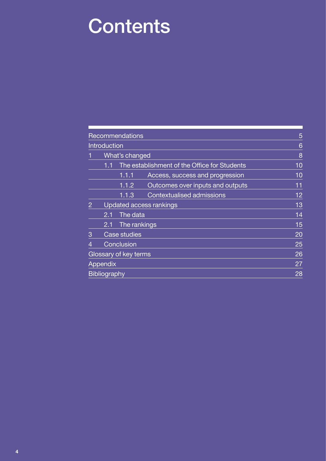## **Contents**

|                |                         | Recommendations       |                                              | 5  |
|----------------|-------------------------|-----------------------|----------------------------------------------|----|
|                | Introduction            |                       |                                              | 6  |
|                | <b>What's changed</b>   |                       |                                              | 8  |
|                | 1.1                     |                       | The establishment of the Office for Students | 10 |
|                |                         | 1.1.1                 | Access, success and progression              | 10 |
|                |                         | 1.1.2                 | Outcomes over inputs and outputs             | 11 |
|                |                         | 1.1.3                 | Contextualised admissions                    | 12 |
| $\overline{2}$ | Updated access rankings |                       |                                              | 13 |
|                | The data<br>2.1         |                       |                                              | 14 |
|                | 2.1                     | The rankings          |                                              | 15 |
| 3              |                         | Case studies          |                                              | 20 |
| 4              |                         | Conclusion            |                                              | 25 |
|                |                         | Glossary of key terms |                                              | 26 |
|                | <b>Appendix</b>         |                       |                                              | 27 |
|                | <b>Bibliography</b>     |                       |                                              | 28 |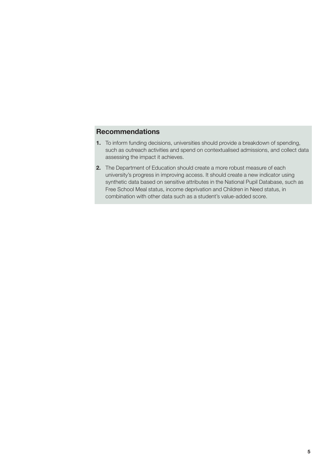#### <span id="page-6-0"></span>**Recommendations**

- **1.** To inform funding decisions, universities should provide a breakdown of spending, such as outreach activities and spend on contextualised admissions, and collect data assessing the impact it achieves.
- **2.** The Department of Education should create a more robust measure of each university's progress in improving access. It should create a new indicator using synthetic data based on sensitive attributes in the National Pupil Database, such as Free School Meal status, income deprivation and Children in Need status, in combination with other data such as a student's value-added score.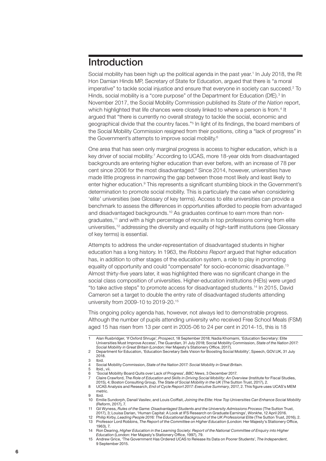### <span id="page-7-0"></span>Introduction

Social mobility has been high up the political agenda in the past year.<sup>1</sup> In July 2018, the Rt Hon Damian Hinds MP, Secretary of State for Education, argued that there is "a moral imperative" to tackle social injustice and ensure that everyone in society can succeed.<sup>2</sup> To Hinds, social mobility is a "core purpose" of the Department for Education (DfE).<sup>3</sup> In November 2017, the Social Mobility Commission published its *State of the Nation* report, which highlighted that life chances were closely linked to where a person is from.<sup>4</sup> It argued that "there is currently no overall strategy to tackle the social, economic and geographical divide that the country faces."5 In light of its findings, the board members of the Social Mobility Commission resigned from their positions, citing a "lack of progress" in the Government's attempts to improve social mobility.6

One area that has seen only marginal progress is access to higher education, which is a key driver of social mobility.<sup>7</sup> According to UCAS, more 18-year olds from disadvantaged backgrounds are entering higher education than ever before, with an increase of 78 per cent since 2006 for the most disadvantaged.<sup>8</sup> Since 2014, however, universities have made little progress in narrowing the gap between those most likely and least likely to enter higher education.<sup>9</sup> This represents a significant stumbling block in the Government's determination to promote social mobility. This is particularly the case when considering 'elite' universities (see Glossary of key terms). Access to elite universities can provide a benchmark to assess the differences in opportunities afforded to people from advantaged and disadvantaged backgrounds.10 As graduates continue to earn more than nongraduates,11 and with a high percentage of recruits in top professions coming from elite universities,<sup>12</sup> addressing the diversity and equality of high-tariff institutions (see Glossary of key terms) is essential.

Attempts to address the under-representation of disadvantaged students in higher education has a long history. In 1963, the *Robbins Report* argued that higher education has, in addition to other stages of the education system, a role to play in promoting equality of opportunity and could "compensate" for socio-economic disadvantage.<sup>13</sup> Almost thirty-five years later, it was highlighted there was no significant change in the social class composition of universities. Higher-education institutions (HEIs) were urged "to take active steps" to promote access for disadvantaged students.14 In 2015, David Cameron set a target to double the entry rate of disadvantaged students attending university from 2009-10 to 2019-20.15

This ongoing policy agenda has, however, not always led to demonstrable progress. Although the number of pupils attending university who received Free School Meals (FSM) aged 15 has risen from 13 per cent in 2005-06 to 24 per cent in 2014-15, this is 18

<sup>1</sup>  Alan Rusbridger, 'If Oxford Shrugs', *Prospect*, 18 September 2018; Nadia Khomami, 'Education Secretary: Elite Universities Must Improve Access', *The Guardian*, 31 July 2018; Social Mobility Commission, *State of the Nation 2017: Social Mobility in Great Britain* (London: Her Majesty's Stationery Office, 2017).

<sup>2</sup>  Department for Education, 'Education Secretary Sets Vision for Boosting Social Mobility', Speech, GOV.UK, 31 July 2018.

<sup>3</sup> Ibid.

Social Mobility Commission, *State of the Nation 2017: Social Mobility in Great Britain*.

<sup>5</sup> Ibid., vii.<br>6 'Social N

<sup>6</sup>  'Social Mobility Board Quits over Lack of Progress', *BBC News*, 3 December 2017.

<sup>7</sup> Claire Crawford, *The Role of Education and Skills in Driving Social Mobility: An Overview* (Institute for Fiscal Studies, 2015), 4; Boston Consulting Group, *The State of Social Mobility in the UK* (The Sutton Trust, 2017), 2.

<sup>8</sup>  UCAS Analysis and Research, *End of Cycle Report 2017: Executive Summary*, 2017, 2. This figure uses UCAS's MEM metric. 9 Ibid.

<sup>10</sup> Emilie Sundorph, Danail Vasilev, and Louis Coiffait, *Joining the Elite: How Top Universities Can Enhance Social Mobility* (Reform, 2017), 7.

<sup>11</sup> Gil Wyness, *Rules of the Game: Disadvantaged Students and the University Admissions Process* (The Sutton Trust, 2017), 3; Louisa Darian, 'Human Capital: A Look at IFS Research on Graduate Earnings', *Wonkhe*, 12 April 2016.

<sup>12</sup> Philip Kirby, *Leading People 2016: The Educational Background of the UK Professional Elite* (The Sutton Trust, 2016), 2. 13 Professor Lord Robbins, *The Report of the Committee on Higher Education* (London: Her Majesty's Stationery Office,

<sup>1963),</sup> 7. 14 Ron Dearing, *Higher Education in the Learning Society: Report of the National Committee of Enquiry into Higher* 

*Education* (London: Her Majesty's Stationery Office, 1997), 79. 15 Andrew Grice, 'The Government Has Ordered UCAS to Release Its Data on Poorer Students', *The Independent*, 9 September 2015.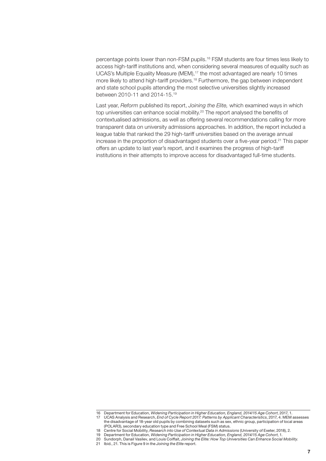percentage points lower than non-FSM pupils.16 FSM students are four times less likely to access high-tariff institutions and, when considering several measures of equality such as UCAS's Multiple Equality Measure (MEM),<sup>17</sup> the most advantaged are nearly 10 times more likely to attend high-tariff providers.<sup>18</sup> Furthermore, the gap between independent and state school pupils attending the most selective universities slightly increased between 2010-11 and 2014-15.19

Last year, *Reform* published its report, *Joining the Elite,* which examined ways in which top universities can enhance social mobility.<sup>20</sup> The report analysed the benefits of contextualised admissions, as well as offering several recommendations calling for more transparent data on university admissions approaches. In addition, the report included a league table that ranked the 29 high-tariff universities based on the average annual increase in the proportion of disadvantaged students over a five-year period.21 This paper offers an update to last year's report, and it examines the progress of high-tariff institutions in their attempts to improve access for disadvantaged full-time students.

<sup>16</sup> Department for Education, *Widening Participation in Higher Education, England, 2014/15 Age Cohort*, 2017, 1.

<sup>17</sup> UCAS Analysis and Research, *End of Cycle Report 2017: Patterns by Applicant Characteristics*, 2017, 4. MEM assesses the disadvantage of 18-year old pupils by combining datasets such as sex, ethnic group, participation of local areas (POLAR3), secondary education type and Free School Meal (FSM) status.

<sup>18</sup> Centre for Social Mobility, *Research into Use of Contextual Data in Admissions* (University of Exeter, 2018), 2.

<sup>19</sup> Department for Education, *Widening Participation in Higher Education, England, 2014/15 Age Cohort*, 1.

<sup>20</sup> Sundorph, Danail Vasilev, and Louis Coiffait, *Joining the Elite: How Top Universities Can Enhance Social Mobility*.

<sup>21</sup> Ibid., 21. This is Figure 9 in the *Joining the Elite* report.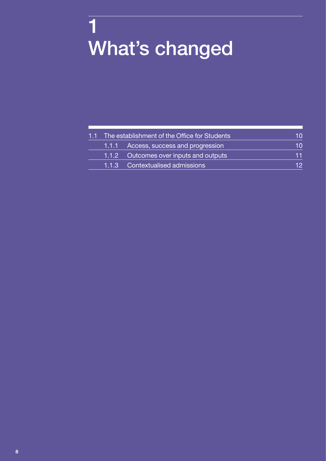## <span id="page-9-0"></span>1 What's changed

| 1.1 The establishment of the Office for Students |                                        |    |
|--------------------------------------------------|----------------------------------------|----|
|                                                  | 1.1.1 Access, success and progression  | 10 |
|                                                  | 1.1.2 Outcomes over inputs and outputs | 11 |
|                                                  | 1.1.3 Contextualised admissions        | 12 |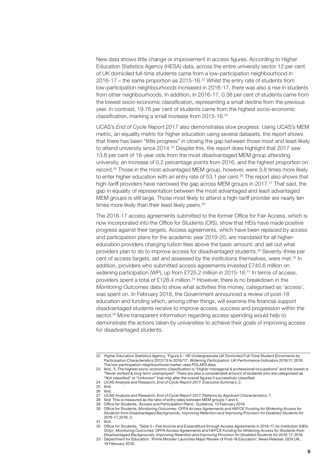New data shows little change or improvement in access figures. According to Higher Education Statistics Agency (HESA) data, across the entire university sector 12 per cent of UK domiciled full-time students came from a low-participation neighbourhood in 2016-17 – the same proportion as 2015-16. $22$  Whilst the entry rate of students from low-participation neighbourhoods increased in 2016-17, there was also a rise in students from other neighbourhoods. In addition, in 2016-17, 0.38 per cent of students came from the lowest socio-economic classification, representing a small decline from the previous year. In contrast, 19.76 per cent of students came from the highest socio-economic classification, marking a small increase from 2015-16.<sup>23</sup>

UCAS's *End of Cycle Report 2017* also demonstrates slow progress. Using UCAS's MEM metric, an equality metric for higher education using several datasets, the report shows that there has been "little progress" in closing the gap between those most and least likely to attend university since 2014.<sup>24</sup> Despite this, the report does highlight that 2017 saw 13.8 per cent of 18-year olds from the most disadvantaged MEM group attending university, an increase of 0.2 percentage points from 2016, and the highest proportion on record.25 Those in the most advantaged MEM group, however, were 3.8 times more likely to enter higher education with an entry rate of 53.1 per cent.<sup>26</sup> The report also shows that high-tariff providers have narrowed the gap across MEM groups in 2017.<sup>27</sup> That said, the gap in equality of representation between the most advantaged and least advantaged MEM groups is still large. Those most likely to attend a high-tariff provider are nearly ten times more likely than their least likely peers.<sup>28</sup>

The 2016-17 access agreements submitted to the former Office for Fair Access, which is now incorporated into the Office for Students (OfS), show that HEIs have made positive progress against their targets. Access agreements, which have been replaced by access and participation plans for the academic year 2019-20, are mandated for all highereducation providers charging tuition fees above the basic amount, and set out what providers plan to do to improve access for disadvantaged students.29 Seventy-three per cent of access targets, set and assessed by the institutions themselves, were met.30 In addition, providers who submitted access agreements invested £745.6 million on widening participation (WP), up from £725.2 million in 2015-16.<sup>31</sup> In terms of access, providers spent a total of £128.4 million.<sup>32</sup> However, there is no breakdown in the *Monitoring Outcomes* data to show what activities this money, categorised as 'access', was spent on. In February 2018, the Government announced a review of post-18 education and funding which, among other things, will examine the financial support disadvantaged students receive to improve access, success and progression within the sector.<sup>33</sup> More transparent information regarding access spending would help to demonstrate the actions taken by universities to achieve their goals of improving access for disadvantaged students.

- 27 UCAS Analysis and Research, *End of Cycle Report 2017: Patterns by Applicant Characteristics*, 7.
- 28 Ibid. This is measured as the ratio of entry rates between MEM groups 1 and 5.

32 Office for Students, 'Table 3 – Fee Income and Expenditure through Access Agreements in 2016-17, by Institution (HEIs Only)', *Monitoring Outcomes: OFFA Access Agreements and HEFCE Funding for Widening Access for Students from Disadvantaged Backgrounds, Improving Retention and Improving Provision for Disabled Students for 2016-17*, 2018.

<sup>22</sup> Higher Education Statistics Agency, 'Figure 5 – HE Undergraduate UK Domiciled Full-Time Student Enrolments by Participation Characteristics 2012/13 to 2016/17', *Widening Participation: UK Performance Indicators 2016/17*, 2018. The low-participation neighbourhood marker uses POLAR3 data.

<sup>23</sup> Ibid., 5. The highest socio-economic classification is "Higher managerial & professional occupations" and the lowest is "Never worked & long-term unemployed". There are also a considerable amount of students who are categorised as "Not classified" or "Unknown" that may alter the overall figures if successfully classified.

<sup>24</sup> UCAS Analysis and Research, *End of Cycle Report 2017: Executive Summary*, 2.

<sup>25</sup> Ibid. 26 Ibid.

<sup>29</sup> Office for Students, 'Access and Participation Plans', Guidance, 13 February 2018.

<sup>30</sup> Office for Students, *Monitoring Outcomes: OFFA Access Agreements and HEFCE Funding for Widening Access for Students from Disadvantaged Backgrounds, Improving Retention and Improving Provision for Disabled Students for 2016-17*, 2018, 3.

<sup>31</sup> Ibid.<br>32 Offic

<sup>33</sup> Department for Education, 'Prime Minister Launches Major Review of Post-18 Education', News Release, GOV.UK, 19 February 2018.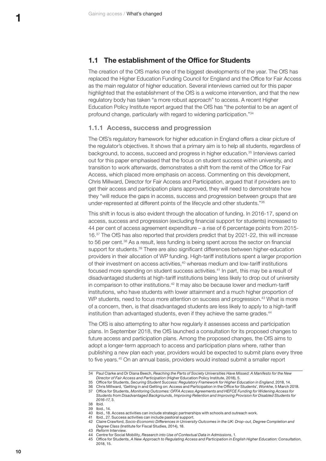#### <span id="page-11-0"></span>**1.1 The establishment of the Office for Students**

The creation of the OfS marks one of the biggest developments of the year. The OfS has replaced the Higher Education Funding Council for England and the Office for Fair Access as the main regulator of higher education. Several interviews carried out for this paper highlighted that the establishment of the OfS is a welcome intervention, and that the new regulatory body has taken "a more robust approach" to access. A recent Higher Education Policy Institute report argued that the OfS has "the potential to be an agent of profound change, particularly with regard to widening participation."34

#### **1.1.1 Access, success and progression**

The OfS's regulatory framework for higher education in England offers a clear picture of the regulator's objectives. It shows that a primary aim is to help all students, regardless of background, to access, succeed and progress in higher education.35 Interviews carried out for this paper emphasised that the focus on student success within university, and transition to work afterwards, demonstrates a shift from the remit of the Office for Fair Access, which placed more emphasis on access. Commenting on this development, Chris Millward, Director for Fair Access and Participation, argued that if providers are to get their access and participation plans approved, they will need to demonstrate how they "will reduce the gaps in access, success and progression between groups that are under-represented at different points of the lifecycle and other students."<sup>36</sup>

This shift in focus is also evident through the allocation of funding. In 2016-17, spend on access, success and progression (excluding financial support for students) increased to 44 per cent of access agreement expenditure – a rise of 6 percentage points from 2015- 16.37 The OfS has also reported that providers predict that by 2021-22, this will increase to 56 per cent.<sup>38</sup> As a result, less funding is being spent across the sector on financial support for students.<sup>39</sup> There are also significant differences between higher-education providers in their allocation of WP funding. High-tariff institutions spent a larger proportion of their investment on access activities,40 whereas medium and low-tariff institutions focused more spending on student success activities.41 In part, this may be a result of disadvantaged students at high-tariff institutions being less likely to drop out of university in comparison to other institutions.<sup>42</sup> It may also be because lower and medium-tariff institutions, who have students with lower attainment and a much higher proportion of WP students, need to focus more attention on success and progression.<sup>43</sup> What is more of a concern, then, is that disadvantaged students are less likely to apply to a high-tariff institution than advantaged students, even if they achieve the same grades.<sup>44</sup>

The OfS is also attempting to alter how regularly it assesses access and participation plans. In September 2018, the OfS launched a consultation for its proposed changes to future access and participation plans. Among the proposed changes, the OfS aims to adopt a longer-term approach to access and participation plans where, rather than publishing a new plan each year, providers would be expected to submit plans every three to five years.45 On an annual basis, providers would instead submit a smaller report

<sup>34</sup> Paul Clarke and Dr Diana Beech, *Reaching the Parts of Society Universities Have Missed: A Manifesto for the New Director of Fair Access and Participation* (Higher Education Policy Institute, 2018), 5.

<sup>35</sup> Office for Students, *Securing Student Success: Regulatory Framework for Higher Education in England*, 2018, 14.

<sup>36</sup> Chris Millward, 'Getting in and Getting on: Access and Participation in the Office for Students', *Wonkhe*, 5 March 2018. 37 Office for Students, *Monitoring Outcomes: OFFA Access Agreements and HEFCE Funding for Widening Access for Students from Disadvantaged Backgrounds, Improving Retention and Improving Provision for Disabled Students for 2016-17*, 3.

<sup>38</sup> Ibid.

Ibid., 14.

<sup>40</sup> Ibid., 18. Access activities can include strategic partnerships with schools and outreach work.

<sup>41</sup> Ibid., 27. Success activities can include pastoral support.

<sup>42</sup> Claire Crawford, *Socio-Economic Differences in University Outcomes in the UK: Drop-out, Degree Completion and Degree Class* (Institute for Fiscal Studies, 2014), 18.

<sup>43</sup> *Reform* Interview.<br>44 Centre for Social I

<sup>44</sup> Centre for Social Mobility, *Research into Use of Contextual Data in Admissions*, 1.

<sup>45</sup> Office for Students, *A New Approach to Regulating Access and Participation in English Higher Education: Consultation*, 2018, 15.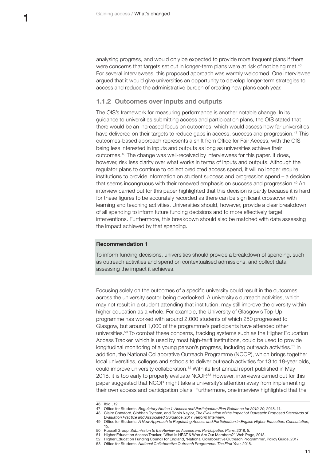<span id="page-12-0"></span>analysing progress, and would only be expected to provide more frequent plans if there were concerns that targets set out in longer-term plans were at risk of not being met.<sup>46</sup> For several interviewees, this proposed approach was warmly welcomed. One interviewee argued that it would give universities an opportunity to develop longer-term strategies to access and reduce the administrative burden of creating new plans each year.

#### **1.1.2 Outcomes over inputs and outputs**

The OfS's framework for measuring performance is another notable change. In its guidance to universities submitting access and participation plans, the OfS stated that there would be an increased focus on outcomes, which would assess how far universities have delivered on their targets to reduce gaps in access, success and progression.<sup>47</sup> This outcomes-based approach represents a shift from Office for Fair Access, with the OfS being less interested in inputs and outputs as long as universities achieve their outcomes.48 The change was well-received by interviewees for this paper. It does, however, risk less clarity over what works in terms of inputs and outputs. Although the regulator plans to continue to collect predicted access spend, it will no longer require institutions to provide information on student success and progression spend – a decision that seems incongruous with their renewed emphasis on success and progression.49 An interview carried out for this paper highlighted that this decision is partly because it is hard for these figures to be accurately recorded as there can be significant crossover with learning and teaching activities. Universities should, however, provide a clear breakdown of all spending to inform future funding decisions and to more effectively target interventions. Furthermore, this breakdown should also be matched with data assessing the impact achieved by that spending.

#### **Recommendation 1**

To inform funding decisions, universities should provide a breakdown of spending, such as outreach activities and spend on contextualised admissions, and collect data assessing the impact it achieves.

Focusing solely on the outcomes of a specific university could result in the outcomes across the university sector being overlooked. A university's outreach activities, which may not result in a student attending that institution, may still improve the diversity within higher education as a whole. For example, the University of Glasgow's Top-Up programme has worked with around 2,000 students of which 250 progressed to Glasgow, but around 1,000 of the programme's participants have attended other universities.50 To combat these concerns, tracking systems such as the Higher Education Access Tracker, which is used by most high-tariff institutions, could be used to provide longitudinal monitoring of a young person's progress, including outreach activities.<sup>51</sup> In addition, the National Collaborative Outreach Programme (NCOP), which brings together local universities, colleges and schools to deliver outreach activities for 13 to 18-year olds, could improve university collaboration.<sup>52</sup> With its first annual report published in May 2018, it is too early to properly evaluate NCOP.53 However, interviews carried out for this paper suggested that NCOP might take a university's attention away from implementing their own access and participation plans. Furthermore, one interview highlighted that the

<sup>46</sup> Ibid., 12.

<sup>47</sup> Office for Students, *Regulatory Notice 1: Access and Participation Plan Guidance for 2019-20*, 2018, 11.

<sup>48</sup> Claire Crawford, Siobhan Dytham, and Robin Naylor, *The Evaluation of the Impact of Outreach: Proposed Standards of Evaluation Practice and Associated Guidance*, 2017; *Reform* Interview.

<sup>49</sup> Office for Students, *A New Approach to Regulating Access and Participation in English Higher Education: Consultation*, 15.

<sup>50</sup> Russell Group, *Submission to the Review on Access and Participation Plans*, 2018, 5.

<sup>51</sup> Higher Education Access Tracker, 'What Is HEAT & Who Are Our Members?', Web Page, 2018.<br>52 Higher Education Funding Council for England, 'National Collaborative Outreach Programme'

<sup>52</sup> Higher Education Funding Council for England, 'National Collaborative Outreach Programme', Policy Guide, 2017.

<sup>53</sup> Office for Students, *National Collaborative Outreach Programme: The First Year*, 2018.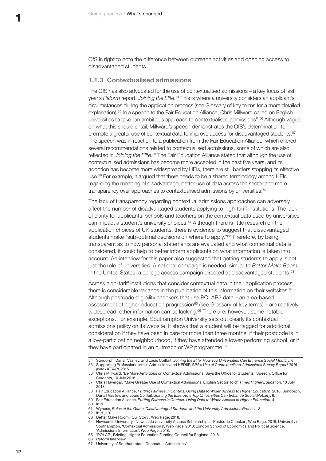<span id="page-13-0"></span>OfS is right to note the difference between outreach activities and opening access to disadvantaged students.

#### **1.1.3 Contextualised admissions**

The OfS has also advocated for the use of contextualised admissions – a key focus of last year's *Reform* report, *Joining the Elite*. 54 This is where a university considers an applicant's circumstances during the application process (see Glossary of key terms for a more detailed explanation).<sup>55</sup> In a speech to the Fair Education Alliance, Chris Millward called on English universities to take "an ambitious approach to contextualised admissions".56 Although vague on what this should entail, Millward's speech demonstrates the OfS's determination to promote a greater use of contextual data to improve access for disadvantaged students.57 The speech was in reaction to a publication from the Fair Education Alliance, which offered several recommendations related to contextualised admissions, some of which are also reflected in *Joining the Elite*. 58 The Fair Education Alliance stated that although the use of contextualised admissions has become more accepted in the past five years, and its adoption has become more widespread by HEIs, there are still barriers stopping its effective use.59 For example, it argued that there needs to be a shared terminology among HEIs regarding the meaning of disadvantage, better use of data across the sector and more transparency over approaches to contextualised admissions by universities.<sup>60</sup>

The lack of transparency regarding contextual admissions approaches can adversely affect the number of disadvantaged students applying to high-tariff institutions. The lack of clarity for applicants, schools and teachers on the contextual data used by universities can impact a student's university choices.61 Although there is little research on the application choices of UK students, there is evidence to suggest that disadvantaged students make "sub-optimal decisions on where to apply."<sup>62</sup> Therefore, by being transparent as to how personal statements are evaluated and what contextual data is considered, it could help to better inform applicants on what information is taken into account. An interview for this paper also suggested that getting students to apply is not just the role of universities. A national campaign is needed, similar to *Better Make Room* in the United States, a college access campaign directed at disadvantaged students.<sup>63</sup>

Across high-tariff institutions that consider contextual data in their application process, there is considerable variance in the publication of this information on their websites.<sup>64</sup> Although postcode eligibility checkers that use POLAR3 data – an area-based assessment of higher education progression<sup>65</sup> (see Glossary of key terms) – are relatively widespread, other information can be lacking.<sup>66</sup> There are, however, some notable exceptions. For example, Southampton University sets out clearly its contextual admissions policy on its website. It shows that a student will be flagged for additional consideration if they have been in care for more than three months, if their postcode is in a low-participation neighbourhood, if they have attended a lower-performing school, or if they have participated in an outreach or WP programme.<sup>67</sup>

63 Better Make Room, 'Our Story', Web Page, 2018.

- 65 'POLAR', Briefing, Higher Education Funding Council for England, 2018.
- 66 *Reform* Interview.
- 67 University of Southampton, 'Contextual Admissions'.

<sup>54</sup> Sundorph, Danail Vasilev, and Louis Coiffait, *Joining the Elite: How Top Universities Can Enhance Social Mobility*, 6. 55 Supporting Professionalism in Admissions and HEDIIP, *SPA's Use of Contextualised Admissions Survey Report 2015 (with HEDIIP)*, 2015.

<sup>56</sup> Chris Millward, 'Be More Ambitious on Contextual Admissions, Says the Office for Students', Speech, Office for Students, 10 July 2018.

<sup>57</sup> Chris Havergal, 'Make Greater Use of Contextual Admissions, English Sector Told', *Times Higher Education*, 10 July 2018.

<sup>58</sup> Fair Education Alliance, *Putting Fairness in Context: Using Data to Widen Access to Higher Education*, 2018; Sundorph, Danail Vasilev, and Louis Coiffait, *Joining the Elite: How Top Universities Can Enhance Social Mobility*, 6.

<sup>59</sup> Fair Education Alliance, *Putting Fairness in Context: Using Data to Widen Access to Higher Education*, 4.

<sup>60</sup> Ibid.<br>61 Wvn

<sup>61</sup> Wyness, *Rules of the Game: Disadvantaged Students and the University Admissions Process*, 3.

<sup>62</sup> Ibid., 10.

<sup>64</sup> Newcastle University, 'Newcastle University Access Scholarships – Postcode Checker', Web Page, 2018; University of Southampton, 'Contextual Admissions', Web Page, 2018; London School of Economics and Political Science, 'Admissions Information', Web Page, 2018.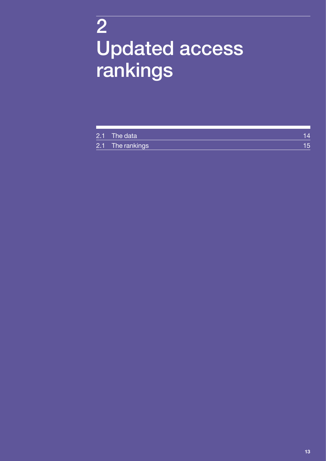## <span id="page-14-0"></span>2 Updated access rankings

| 2.1 The data     | 14  |
|------------------|-----|
| 2.1 The rankings | 15. |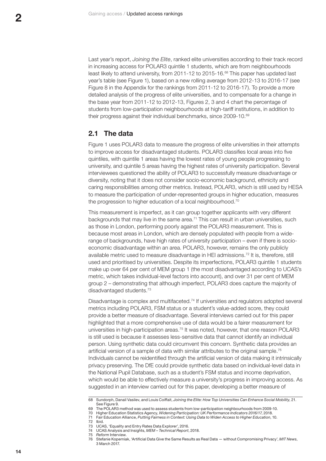<span id="page-15-0"></span>Last year's report, *Joining the Elite*, ranked elite universities according to their track record in increasing access for POLAR3 quintile 1 students, which are from neighbourhoods least likely to attend university, from 2011-12 to 2015-16.68 This paper has updated last year's table (see Figure 1), based on a new rolling average from 2012-13 to 2016-17 (see Figure 8 in the Appendix for the rankings from 2011-12 to 2016-17). To provide a more detailed analysis of the progress of elite universities, and to compensate for a change in the base year from 2011-12 to 2012-13, Figures 2, 3 and 4 chart the percentage of students from low-participation neighbourhoods at high-tariff institutions, in addition to their progress against their individual benchmarks, since 2009-10.69

#### **2.1 The data**

Figure 1 uses POLAR3 data to measure the progress of elite universities in their attempts to improve access for disadvantaged students. POLAR3 classifies local areas into five quintiles, with quintile 1 areas having the lowest rates of young people progressing to university, and quintile 5 areas having the highest rates of university participation. Several interviewees questioned the ability of POLAR3 to successfully measure disadvantage or diversity, noting that it does not consider socio-economic background, ethnicity and caring responsibilities among other metrics. Instead, POLAR3, which is still used by HESA to measure the participation of under-represented groups in higher education, measures the progression to higher education of a local neighbourhood.<sup>70</sup>

This measurement is imperfect, as it can group together applicants with very different backgrounds that may live in the same area.71 This can result in urban universities, such as those in London, performing poorly against the POLAR3 measurement. This is because most areas in London, which are densely populated with people from a widerange of backgrounds, have high rates of university participation – even if there is socioeconomic disadvantage within an area. POLAR3, however, remains the only publicly available metric used to measure disadvantage in HEI admissions.72 It is, therefore, still used and prioritised by universities. Despite its imperfections, POLAR3 quintile 1 students make up over 64 per cent of MEM group 1 (the most disadvantaged according to UCAS's metric, which takes individual-level factors into account), and over 31 per cent of MEM group 2 – demonstrating that although imperfect, POLAR3 does capture the majority of disadvantaged students.73

Disadvantage is complex and multifaceted.74 If universities and regulators adopted several metrics including POLAR3, FSM status or a student's value-added score, they could provide a better measure of disadvantage. Several interviews carried out for this paper highlighted that a more comprehensive use of data would be a fairer measurement for universities in high-participation areas.<sup>75</sup> It was noted, however, that one reason POLAR3 is still used is because it assesses less-sensitive data that cannot identify an individual person. Using synthetic data could circumvent this concern. Synthetic data provides an artificial version of a sample of data with similar attributes to the original sample.<sup>76</sup> Individuals cannot be reidentified through the artificial version of data making it intrinsically privacy preserving. The DfE could provide synthetic data based on individual-level data in the National Pupil Database, such as a student's FSM status and income deprivation, which would be able to effectively measure a university's progress in improving access. As suggested in an interview carried out for this paper, developing a better measure of

<sup>68</sup> Sundorph, Danail Vasilev, and Louis Coiffait, *Joining the Elite: How Top Universities Can Enhance Social Mobility*, 21. See Figure 9.

The POLAR3 method was used to assess students from low-participation neighbourhoods from 2009-10.

<sup>70</sup> Higher Education Statistics Agency, *Widening Participation: UK Performance Indicators 2016/17*, 2018. 71 Fair Education Alliance, *Putting Fairness in Context: Using Data to Widen Access to Higher Education*, 10.

<sup>72</sup> Ibid.

<sup>73</sup> UCAS, 'Equality and Entry Rates Data Explorer', 2016.<br>74 UCAS Analysis and Insights, MEM - Technical Report.

<sup>74</sup> UCAS Analysis and Insights, *MEM – Technical Report*, 2018.

<sup>75</sup> *Reform* Interview.

<sup>76</sup> Stefanie Koperniak, 'Artificial Data Give the Same Results as Real Data — without Compromising Privacy', *MIT News*, 3 March 2017.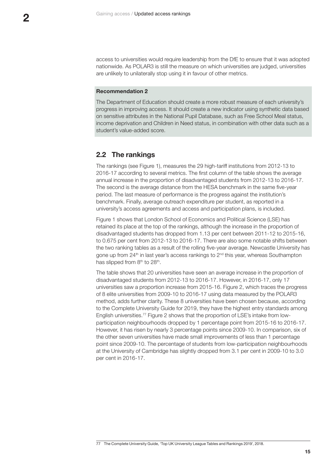<span id="page-16-0"></span>access to universities would require leadership from the DfE to ensure that it was adopted nationwide. As POLAR3 is still the measure on which universities are judged, universities are unlikely to unilaterally stop using it in favour of other metrics.

#### **Recommendation 2**

The Department of Education should create a more robust measure of each university's progress in improving access. It should create a new indicator using synthetic data based on sensitive attributes in the National Pupil Database, such as Free School Meal status, income deprivation and Children in Need status, in combination with other data such as a student's value-added score.

#### **2.2 The rankings**

The rankings (see [Figure 1](#page-17-0)), measures the 29 high-tariff institutions from 2012-13 to 2016-17 according to several metrics. The first column of the table shows the average annual increase in the proportion of disadvantaged students from 2012-13 to 2016-17. The second is the average distance from the HESA benchmark in the same five-year period. The last measure of performance is the progress against the institution's benchmark. Finally, average outreach expenditure per student, as reported in a university's access agreements and access and participation plans, is included.

[Figure 1](#page-17-0) shows that London School of Economics and Political Science (LSE) has retained its place at the top of the rankings, although the increase in the proportion of disadvantaged students has dropped from 1.13 per cent between 2011-12 to 2015-16, to 0.675 per cent from 2012-13 to 2016-17. There are also some notable shifts between the two ranking tables as a result of the rolling five-year average. Newcastle University has gone up from  $24<sup>th</sup>$  in last year's access rankings to  $2<sup>nd</sup>$  this year, whereas Southampton has slipped from 8<sup>th</sup> to 28<sup>th</sup>.

The table shows that 20 universities have seen an average increase in the proportion of disadvantaged students from 2012-13 to 2016-17. However, in 2016-17, only 17 universities saw a proportion increase from 2015-16. [Figure 2,](#page-18-0) which traces the progress of 8 elite universities from 2009-10 to 2016-17 using data measured by the POLAR3 method, adds further clarity. These 8 universities have been chosen because, according to the Complete University Guide for 2019, they have the highest entry standards among English universities.77 [Figure 2](#page-18-0) shows that the proportion of LSE's intake from lowparticipation neighbourhoods dropped by 1 percentage point from 2015-16 to 2016-17. However, it has risen by nearly 3 percentage points since 2009-10. In comparison, six of the other seven universities have made small improvements of less than 1 percentage point since 2009-10. The percentage of students from low-participation neighbourhoods at the University of Cambridge has slightly dropped from 3.1 per cent in 2009-10 to 3.0 per cent in 2016-17.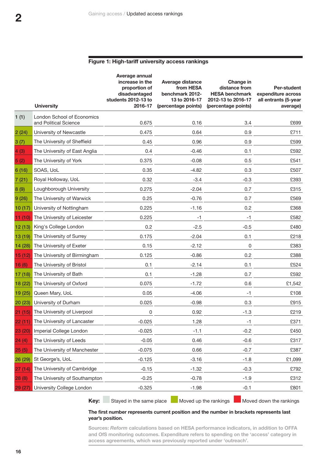#### <span id="page-17-0"></span>**Figure 1: High-tariff university access rankings**

|         | <b>University</b>                                          | Average annual<br>increase in the<br>proportion of<br>disadvantaged<br>students 2012-13 to<br>2016-17 | <b>Average distance</b><br>from HESA<br>benchmark 2012-<br>13 to 2016-17<br>(percentage points) | Change in<br>distance from<br><b>HESA benchmark</b><br>2012-13 to 2016-17<br>(percentage points) | <b>Per-student</b><br>expenditure across<br>all entrants (5-year<br>average) |
|---------|------------------------------------------------------------|-------------------------------------------------------------------------------------------------------|-------------------------------------------------------------------------------------------------|--------------------------------------------------------------------------------------------------|------------------------------------------------------------------------------|
| 1(1)    | <b>London School of Economics</b><br>and Political Science | 0.675                                                                                                 | 0.16                                                                                            | 3.4                                                                                              | £699                                                                         |
| 2(24)   | University of Newcastle                                    | 0.475                                                                                                 | 0.64                                                                                            | 0.9                                                                                              | £711                                                                         |
| 3(7)    | The University of Sheffield                                | 0.45                                                                                                  | 0.96                                                                                            | 0.9                                                                                              | £599                                                                         |
| 4(3)    | The University of East Anglia                              | 0.4                                                                                                   | $-0.46$                                                                                         | 0.1                                                                                              | £592                                                                         |
| 5(2)    | The University of York                                     | 0.375                                                                                                 | $-0.08$                                                                                         | 0.5                                                                                              | £541                                                                         |
| 6(16)   | SOAS, UoL                                                  | 0.35                                                                                                  | $-4.82$                                                                                         | 0.3                                                                                              | £507                                                                         |
| 7(21)   | Royal Holloway, UoL                                        | 0.32                                                                                                  | $-3.4$                                                                                          | $-0.3$                                                                                           | £393                                                                         |
| 8(9)    | Loughborough University                                    | 0.275                                                                                                 | $-2.04$                                                                                         | 0.7                                                                                              | £315                                                                         |
| 9(26)   | The University of Warwick                                  | 0.25                                                                                                  | $-0.76$                                                                                         | 0.7                                                                                              | £569                                                                         |
| 10(17)  | University of Nottingham                                   | 0.225                                                                                                 | $-1.16$                                                                                         | 0.2                                                                                              | £368                                                                         |
| 11(10)  | The University of Leicester                                | 0.225                                                                                                 | $-1$                                                                                            | $-1$                                                                                             | £582                                                                         |
| 12(13)  | King's College London                                      | 0.2                                                                                                   | $-2.5$                                                                                          | $-0.5$                                                                                           | £480                                                                         |
| 13 (19) | The University of Surrey                                   | 0.175                                                                                                 | $-2.04$                                                                                         | 0.1                                                                                              | £218                                                                         |
| 14 (28) | The University of Exeter                                   | 0.15                                                                                                  | $-2.12$                                                                                         | 0                                                                                                | £383                                                                         |
| 15(12)  | The University of Birmingham                               | 0.125                                                                                                 | $-0.86$                                                                                         | 0.2                                                                                              | £388                                                                         |
| 16(6)   | The University of Bristol                                  | 0.1                                                                                                   | $-2.14$                                                                                         | 0.1                                                                                              | £524                                                                         |
| 17 (18) | The University of Bath                                     | 0.1                                                                                                   | $-1.28$                                                                                         | 0.7                                                                                              | £592                                                                         |
| 18 (22) | The University of Oxford                                   | 0.075                                                                                                 | $-1.72$                                                                                         | 0.6                                                                                              | £1,542                                                                       |
| 19 (25) | Queen Mary, UoL                                            | 0.05                                                                                                  | $-4.06$                                                                                         | $-1$                                                                                             | £108                                                                         |
| 20(23)  | University of Durham                                       | 0.025                                                                                                 | $-0.98$                                                                                         | 0.3                                                                                              | £915                                                                         |
| 21(15)  | The University of Liverpool                                | 0                                                                                                     | 0.92                                                                                            | $-1.3$                                                                                           | £219                                                                         |
| 22(11)  | The University of Lancaster                                | -0.025                                                                                                | 1.28                                                                                            | -1                                                                                               | £371                                                                         |
| 23 (20) | Imperial College London                                    | $-0.025$                                                                                              | $-1.1$                                                                                          | $-0.2$                                                                                           | £450                                                                         |
| 24(4)   | The University of Leeds                                    | $-0.05$                                                                                               | 0.46                                                                                            | $-0.6$                                                                                           | £317                                                                         |
| 25(5)   | The University of Manchester                               | $-0.075$                                                                                              | 0.66                                                                                            | $-0.7$                                                                                           | £387                                                                         |
| 26 (29) | St George's, UoL                                           | $-0.125$                                                                                              | $-3.16$                                                                                         | $-1.8$                                                                                           | £1,099                                                                       |
| 27(14)  | The University of Cambridge                                | $-0.15$                                                                                               | $-1.32$                                                                                         | $-0.3$                                                                                           | £792                                                                         |
| 28(8)   | The University of Southampton                              | $-0.25$                                                                                               | $-0.78$                                                                                         | $-1.9$                                                                                           | £312                                                                         |
| 29 (27) | University College London                                  | $-0.325$                                                                                              | $-1.98$                                                                                         | $-0.1$                                                                                           | £801                                                                         |

**Key:** Stayed in the same place Moved up the rankings Moved down the rankings

#### **The first number represents current position and the number in brackets represents last year's position.**

**Sources:** *Reform* **calculations based on HESA performance indicators, in addition to OFFA and OfS monitoring outcomes. Expenditure refers to spending on the 'access' category in access agreements, which was previously reported under 'outreach'.**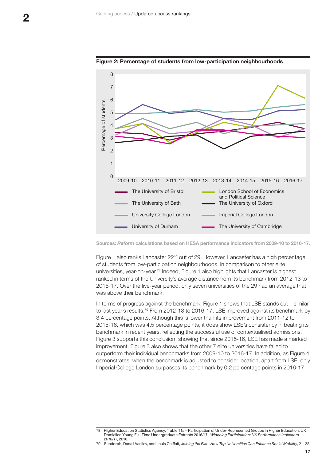

#### <span id="page-18-0"></span>**Figure 2: Percentage of students from low-participation neighbourhoods**

**Sources:** *Reform* **calculations based on HESA performance indicators from 2009-10 to 2016-17.** 

Figure 1 also ranks Lancaster 22<sup>nd</sup> out of 29. However, Lancaster has a high percentage of students from low-participation neighbourhoods, in comparison to other elite universities, year-on-year.78 Indeed, Figure 1 also highlights that Lancaster is highest ranked in terms of the University's average distance from its benchmark from 2012-13 to 2016-17. Over the five-year period, only seven universities of the 29 had an average that was above their benchmark.

In terms of progress against the benchmark, Figure 1 shows that LSE stands out – similar to last year's results.79 From 2012-13 to 2016-17, LSE improved against its benchmark by 3.4 percentage points. Although this is lower than its improvement from 2011-12 to 2015-16, which was 4.5 percentage points, it does show LSE's consistency in beating its benchmark in recent years, reflecting the successful use of contextualised admissions. [Figure 3](#page-19-0) supports this conclusion, showing that since 2015-16, LSE has made a marked improvement. [Figure 3](#page-19-0) also shows that the other 7 elite universities have failed to outperform their individual benchmarks from 2009-10 to 2016-17. In addition, as [Figure 4](#page-19-1) demonstrates, when the benchmark is adjusted to consider location, apart from LSE, only Imperial College London surpasses its benchmark by 0.2 percentage points in 2016-17.

<sup>78</sup> Higher Education Statistics Agency, 'Table T1a – Participation of Under-Represented Groups in Higher Education: UK Domiciled Young Full-Time Undergraduate Entrants 2016/17', *Widening Participation: UK Performance Indicators 2016/17*, 2018.

<sup>79</sup> Sundorph, Danail Vasilev, and Louis Coiffait, *Joining the Elite: How Top Universities Can Enhance Social Mobility*, 21–22.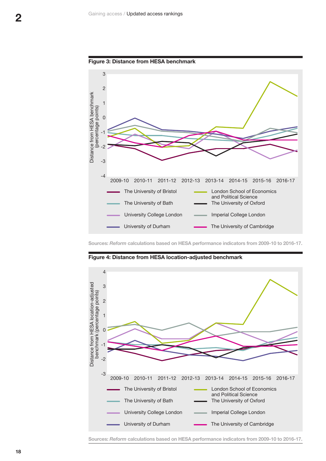<span id="page-19-0"></span>



**Sources:** *Reform* **calculations based on HESA performance indicators from 2009-10 to 2016-17.** 



<span id="page-19-1"></span>**Figure 4: Distance from HESA location-adjusted benchmark**

**Sources:** *Reform* **calculations based on HESA performance indicators from 2009-10 to 2016-17.**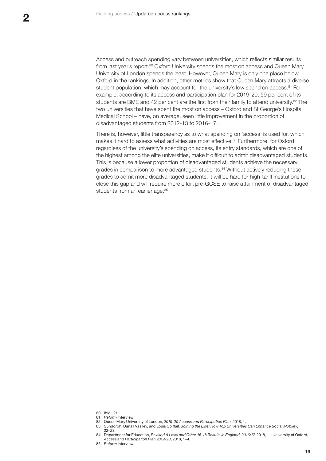Access and outreach spending vary between universities, which reflects similar results from last year's report.<sup>80</sup> Oxford University spends the most on access and Queen Mary, University of London spends the least. However, Queen Mary is only one place below Oxford in the rankings. In addition, other metrics show that Queen Mary attracts a diverse student population, which may account for the university's low spend on access.<sup>81</sup> For example, according to its access and participation plan for 2019-20, 59 per cent of its students are BME and 42 per cent are the first from their family to attend university.<sup>82</sup> The two universities that have spent the most on access – Oxford and St George's Hospital Medical School – have, on average, seen little improvement in the proportion of disadvantaged students from 2012-13 to 2016-17.

There is, however, little transparency as to what spending on 'access' is used for, which makes it hard to assess what activities are most effective.<sup>83</sup> Furthermore, for Oxford, regardless of the university's spending on access, its entry standards, which are one of the highest among the elite universities, make it difficult to admit disadvantaged students. This is because a lower proportion of disadvantaged students achieve the necessary grades in comparison to more advantaged students.<sup>84</sup> Without actively reducing these grades to admit more disadvantaged students, it will be hard for high-tariff institutions to close this gap and will require more effort pre-GCSE to raise attainment of disadvantaged students from an earlier age.<sup>85</sup>

<sup>80</sup> Ibid., 21.

<sup>81</sup> *Reform* Interview.

<sup>82</sup> Queen Mary University of London, *2019-20 Access and Participation Plan*, 2018, 1.

<sup>83</sup> Sundorph, Danail Vasilev, and Louis Coiffait, *Joining the Elite: How Top Universities Can Enhance Social Mobility*,

<sup>22–23.</sup>

<sup>84</sup> Department for Education, *Revised A Level and Other 16-18 Results in England, 2016/17*, 2018, 11; University of Oxford, *Access and Participation Plan 2019-20*, 2018, 1–4.

<sup>85</sup> *Reform* Interview.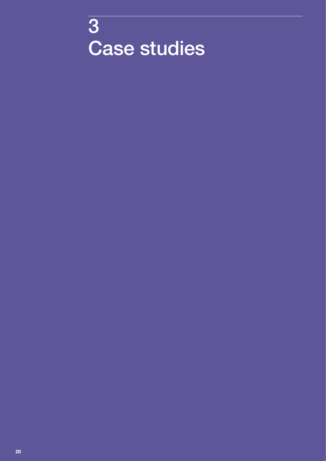<span id="page-21-0"></span>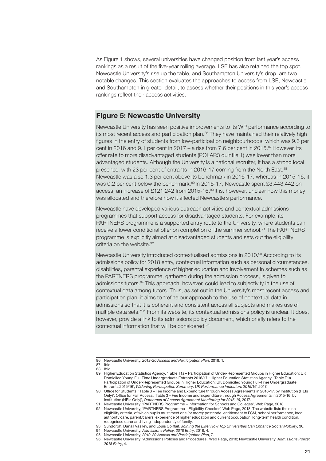As Figure 1 shows, several universities have changed position from last year's access rankings as a result of the five-year rolling average. LSE has also retained the top spot. Newcastle University's rise up the table, and Southampton University's drop, are two notable changes. This section evaluates the approaches to access from LSE, Newcastle and Southampton in greater detail, to assess whether their positions in this year's access rankings reflect their access activities.

#### **Figure 5: Newcastle University**

Newcastle University has seen positive improvements to its WP performance according to its most recent access and participation plan. $86$  They have maintained their relatively high figures in the entry of students from low-participation neighbourhoods, which was 9.3 per cent in 2016 and 9.1 per cent in 2017 – a rise from 7.6 per cent in 2015.<sup>87</sup> However, its offer rate to more disadvantaged students (POLAR3 quintile 1) was lower than more advantaged students. Although the University is a national recruiter, it has a strong local presence, with 23 per cent of entrants in 2016-17 coming from the North East.<sup>88</sup> Newcastle was also 1.3 per cent above its benchmark in 2016-17, whereas in 2015-16, it was 0.2 per cent below the benchmark. $89$  In 2016-17, Newcastle spent £3,443,442 on access, an increase of £121,242 from 2015-16.<sup>90</sup> It is, however, unclear how this money was allocated and therefore how it affected Newcastle's performance.

Newcastle have developed various outreach activities and contextual admissions programmes that support access for disadvantaged students. For example, its PARTNERS programme is a supported entry route to the University, where students can receive a lower conditional offer on completion of the summer school.<sup>91</sup> The PARTNERS programme is explicitly aimed at disadvantaged students and sets out the eligibility criteria on the website.<sup>92</sup>

Newcastle University introduced contextualised admissions in 2010.<sup>93</sup> According to its admissions policy for 2018 entry, contextual information such as personal circumstances, disabilities, parental experience of higher education and involvement in schemes such as the PARTNERS programme, gathered during the admission process, is given to admissions tutors.94 This approach, however, could lead to subjectivity in the use of contextual data among tutors. Thus, as set out in the University's most recent access and participation plan, it aims to "refine our approach to the use of contextual data in admissions so that it is coherent and consistent across all subjects and makes use of multiple data sets."95 From its website, its contextual admissions policy is unclear. It does, however, provide a link to its admissions policy document, which briefly refers to the contextual information that will be considered.96

92 Newcastle University, 'PARTNERS Programme – Eligibility Checker', Web Page, 2018. The website lists the nine eligibility criteria, of which pupils must meet one (or more): postcode, entitlement to FSM, school performance, local authority care, parent/carers' experience of higher education and current occupation, long-term health condition, recognised carer and living independently of family.

<sup>86</sup> Newcastle University, *2019-20 Access and Participation Plan*, 2018, 1.

<sup>87</sup> Ibid.

<sup>88</sup> Ibid.<br>89 High 89 Higher Education Statistics Agency, 'Table T1a – Participation of Under-Represented Groups in Higher Education: UK Domiciled Young Full-Time Undergraduate Entrants 2016/17'; Higher Education Statistics Agency, 'Table T1a – Participation of Under-Represented Groups in Higher Education: UK Domiciled Young Full-Time Undergraduate Entrants 2015/16', *Widening Participation Summary: UK Performance Indicators 2015/16*, 2017.

<sup>90</sup> Office for Students, 'Table 3 – Fee Income and Expenditure through Access Agreements in 2016-17, by Institution (HEIs Only)'; Office for Fair Access, 'Table 3 – Fee Income and Expenditure through Access Agreements in 2015-16, by Institution (HEIs Only)', *Outcomes of Access Agreement Monitoring for 2015-16*, 2017.

<sup>91</sup> Newcastle University, 'PARTNERS Programme – Information for Schools and Colleges', Web Page, 2018.

<sup>93</sup> Sundorph, Danail Vasilev, and Louis Coiffait, *Joining the Elite: How Top Universities Can Enhance Social Mobility*, 36.

<sup>94</sup> Newcastle University, *Admissions Policy: 2018 Entry*, 2018, 4.

<sup>95</sup> Newcastle University, *2019-20 Access and Participation Plan*, 7.

<sup>96</sup> Newcastle University, 'Admissions Policies and Procedures', Web Page, 2018; Newcastle University, *Admissions Policy: 2018 Entry*, 4.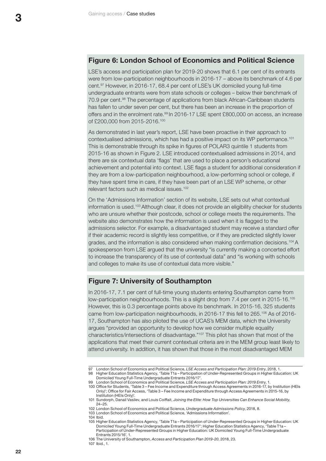#### **Figure 6: London School of Economics and Political Science**

LSE's access and participation plan for 2019-20 shows that 6.1 per cent of its entrants were from low-participation neighbourhoods in 2016-17 – above its benchmark of 4.6 per cent.97 However, in 2016-17, 68.4 per cent of LSE's UK domiciled young full-time undergraduate entrants were from state schools or colleges – below their benchmark of 70.9 per cent.98 The percentage of applications from black African-Caribbean students has fallen to under seven per cent, but there has been an increase in the proportion of offers and in the enrolment rate.<sup>99</sup> In 2016-17 LSE spent £800,000 on access, an increase of £200,000 from 2015-2016.100

As demonstrated in last year's report, LSE have been proactive in their approach to contextualised admissions, which has had a positive impact on its WP performance.101 This is demonstrable through its spike in figures of POLAR3 quintile 1 students from 2015-16 as shown in Figure 2. LSE introduced contextualised admissions in 2014, and there are six contextual data 'flags' that are used to place a person's educational achievement and potential into context. LSE flags a student for additional consideration if they are from a low-participation neighbourhood, a low-performing school or college, if they have spent time in care, if they have been part of an LSE WP scheme, or other relevant factors such as medical issues.<sup>102</sup>

On the 'Admissions Information' section of its website, LSE sets out what contextual information is used.<sup>103</sup> Although clear, it does not provide an eligibility checker for students who are unsure whether their postcode, school or college meets the requirements. The website also demonstrates how the information is used when it is flagged to the admissions selector. For example, a disadvantaged student may receive a standard offer if their academic record is slightly less competitive, or if they are predicted slightly lower grades, and the information is also considered when making confirmation decisions.<sup>104</sup> A spokesperson from LSE argued that the university "is currently making a concerted effort to increase the transparency of its use of contextual data" and "is working with schools and colleges to make its use of contextual data more visible."

#### **Figure 7: University of Southampton**

In 2016-17, 7.1 per cent of full-time young students entering Southampton came from low-participation neighbourhoods. This is a slight drop from 7.4 per cent in 2015-16.<sup>105</sup> However, this is 0.3 percentage points above its benchmark. In 2015-16, 325 students came from low-participation neighbourhoods, in 2016-17 this fell to 265.<sup>106</sup> As of 2016-17, Southampton has also piloted the use of UCAS's MEM data, which the University argues "provided an opportunity to develop how we consider multiple equality characteristics/intersections of disadvantage."107 This pilot has shown that most of the applications that meet their current contextual criteria are in the MEM group least likely to attend university. In addition, it has shown that those in the most disadvantaged MEM

104 Ibid.

<sup>97</sup> London School of Economics and Political Science, *LSE Access and Participation Plan: 2019 Entry*, 2018, 1. 98 Higher Education Statistics Agency, 'Table T1a – Participation of Under-Represented Groups in Higher Education: UK Domiciled Young Full-Time Undergraduate Entrants 2016/17'.

<sup>99</sup> London School of Economics and Political Science, *LSE Access and Participation Plan: 2019 Entry*, 1. 100 Office for Students, 'Table 3 – Fee Income and Expenditure through Access Agreements in 2016-17, by Institution (HEIs Only)'; Office for Fair Access, 'Table 3 – Fee Income and Expenditure through Access Agreements in 2015-16, by

Institution (HEIs Only)'.

<sup>101</sup> Sundorph, Danail Vasilev, and Louis Coiffait, *Joining the Elite: How Top Universities Can Enhance Social Mobility*, 24–25.

<sup>102</sup> London School of Economics and Political Science, *Undergraduate Admissions Policy*, 2018, 8.

<sup>103</sup> London School of Economics and Political Science, 'Admissions Information'.

<sup>105</sup> Higher Education Statistics Agency, 'Table T1a – Participation of Under-Represented Groups in Higher Education: UK Domiciled Young Full-Time Undergraduate Entrants 2016/17'; Higher Education Statistics Agency, 'Table T1a – Participation of Under-Represented Groups in Higher Education: UK Domiciled Young Full-Time Undergraduate Entrants 2015/16', 1.

<sup>106</sup> The University of Southampton, *Access and Participation Plan 2019-20*, 2018, 23.

<sup>107</sup> Ibid., 1.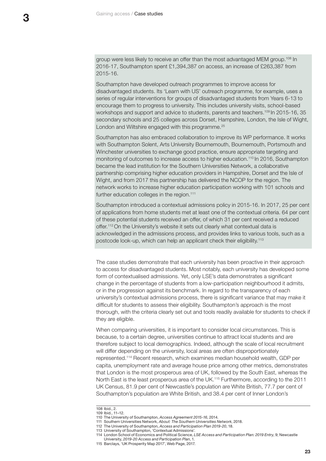group were less likely to receive an offer than the most advantaged MEM group.108 In 2016-17, Southampton spent £1,394,387 on access, an increase of £263,387 from 2015-16.

Southampton have developed outreach programmes to improve access for disadvantaged students. Its 'Learn with US' outreach programme, for example, uses a series of regular interventions for groups of disadvantaged students from Years 6-13 to encourage them to progress to university. This includes university visits, school-based workshops and support and advice to students, parents and teachers.<sup>109</sup> In 2015-16, 35 secondary schools and 25 colleges across Dorset, Hampshire, London, the Isle of Wight, London and Wiltshire engaged with this programme.<sup>25</sup>

Southampton has also embraced collaboration to improve its WP performance. It works with Southampton Solent, Arts University Bournemouth, Bournemouth, Portsmouth and Winchester universities to exchange good practice, ensure appropriate targeting and monitoring of outcomes to increase access to higher education.110 In 2016, Southampton became the lead institution for the Southern Universities Network, a collaborative partnership comprising higher education providers in Hampshire, Dorset and the Isle of Wight, and from 2017 this partnership has delivered the NCOP for the region. The network works to increase higher education participation working with 101 schools and further education colleges in the region.<sup>111</sup>

Southampton introduced a contextual admissions policy in 2015-16. In 2017, 25 per cent of applications from home students met at least one of the contextual criteria. 64 per cent of these potential students received an offer, of which 31 per cent received a reduced offer.<sup>112</sup> On the University's website it sets out clearly what contextual data is acknowledged in the admissions process, and provides links to various tools, such as a postcode look-up, which can help an applicant check their eligibility.113

The case studies demonstrate that each university has been proactive in their approach to access for disadvantaged students. Most notably, each university has developed some form of contextualised admissions. Yet, only LSE's data demonstrates a significant change in the percentage of students from a low-participation neighbourhood it admits, or in the progression against its benchmark. In regard to the transparency of each university's contextual admissions process, there is significant variance that may make it difficult for students to assess their eligibility. Southampton's approach is the most thorough, with the criteria clearly set out and tools readily available for students to check if they are eligible.

When comparing universities, it is important to consider local circumstances. This is because, to a certain degree, universities continue to attract local students and are therefore subject to local demographics. Indeed, although the scale of local recruitment will differ depending on the university, local areas are often disproportionately represented.114 Recent research, which examines median household wealth, GDP per capita, unemployment rate and average house price among other metrics, demonstrates that London is the most prosperous area of UK, followed by the South East, whereas the North East is the least prosperous area of the UK.115 Furthermore, according to the 2011 UK Census, 81.9 per cent of Newcastle's population are White British, 77.7 per cent of Southampton's population are White British, and 38.4 per cent of Inner London's

<sup>108</sup> Ibid., 2. 109 Ibid., 11–12.

<sup>110</sup> The University of Southampton, *Access Agreement 2015-16*, 2014.

<sup>111</sup> Southern Universities Network, *About: The Southern Universities Network*, 2018.

<sup>112</sup> The University of Southampton, *Access and Participation Plan 2019-20*, 18.

<sup>113</sup> University of Southampton, 'Contextual Admissions'.

<sup>114</sup> London School of Economics and Political Science, *LSE Access and Participation Plan: 2019 Entry*, 9; Newcastle University, *2019-20 Access and Participation Plan*, 1.

<sup>115</sup> Barclays, 'UK Prosperity Map 2017', Web Page, 2017.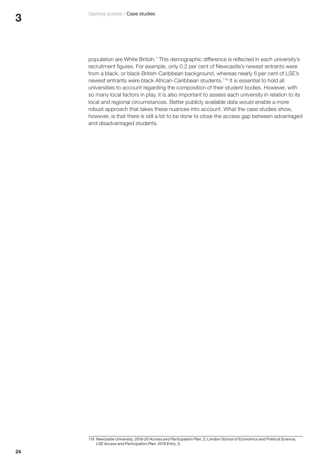population are White British.7 This demographic difference is reflected in each university's recruitment figures. For example, only 0.2 per cent of Newcastle's newest entrants were from a black, or black British-Caribbean background, whereas nearly 6 per cent of LSE's newest entrants were black African-Caribbean students.116 It is essential to hold all universities to account regarding the composition of their student bodies. However, with so many local factors in play, it is also important to assess each university in relation to its local and regional circumstances. Better publicly available data would enable a more robust approach that takes these nuances into account. What the case studies show, however, is that there is still a lot to be done to close the access gap between advantaged and disadvantaged students.

<sup>116</sup> Newcastle University, *2019-20 Access and Participation Plan*, 2; London School of Economics and Political Science, *LSE Access and Participation Plan: 2019 Entry*, 3.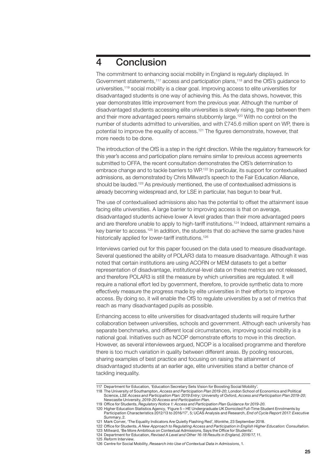### <span id="page-26-0"></span>4 Conclusion

The commitment to enhancing social mobility in England is regularly displayed. In Government statements,117 access and participation plans,118 and the OfS's guidance to universities,119 social mobility is a clear goal. Improving access to elite universities for disadvantaged students is one way of achieving this. As the data shows, however, this year demonstrates little improvement from the previous year. Although the number of disadvantaged students accessing elite universities is slowly rising, the gap between them and their more advantaged peers remains stubbornly large.120 With no control on the number of students admitted to universities, and with £745.6 million spent on WP, there is potential to improve the equality of access.121 The figures demonstrate, however, that more needs to be done.

The introduction of the OfS is a step in the right direction. While the regulatory framework for this year's access and participation plans remains similar to previous access agreements submitted to OFFA, the recent consultation demonstrates the OfS's determination to embrace change and to tackle barriers to WP.122 In particular, its support for contextualised admissions, as demonstrated by Chris Millward's speech to the Fair Education Alliance, should be lauded.123 As previously mentioned, the use of contextualised admissions is already becoming widespread and, for LSE in particular, has begun to bear fruit.

The use of contextualised admissions also has the potential to offset the attainment issue facing elite universities. A large barrier to improving access is that on average, disadvantaged students achieve lower A level grades than their more advantaged peers and are therefore unable to apply to high-tariff institutions.<sup>124</sup> Indeed, attainment remains a key barrier to access.<sup>125</sup> In addition, the students that do achieve the same grades have historically applied for lower-tariff institutions.<sup>126</sup>

Interviews carried out for this paper focused on the data used to measure disadvantage. Several questioned the ability of POLAR3 data to measure disadvantage. Although it was noted that certain institutions are using ACORN or MEM datasets to get a better representation of disadvantage, institutional-level data on these metrics are not released, and therefore POLAR3 is still the measure by which universities are regulated. It will require a national effort led by government, therefore, to provide synthetic data to more effectively measure the progress made by elite universities in their efforts to improve access. By doing so, it will enable the OfS to regulate universities by a set of metrics that reach as many disadvantaged pupils as possible.

Enhancing access to elite universities for disadvantaged students will require further collaboration between universities, schools and government. Although each university has separate benchmarks, and different local circumstances, improving social mobility is a national goal. Initiatives such as NCOP demonstrate efforts to move in this direction. However, as several interviewees argued, NCOP is a localised programme and therefore there is too much variation in quality between different areas. By pooling resources, sharing examples of best practice and focusing on raising the attainment of disadvantaged students at an earlier age, elite universities stand a better chance of tackling inequality.

- 124 Department for Education, *Revised A Level and Other 16-18 Results in England, 2016/17*, 11.
- 

<sup>117</sup> Department for Education, 'Education Secretary Sets Vision for Boosting Social Mobility'.

<sup>118</sup> The University of Southampton, *Access and Participation Plan 2019-20*; London School of Economics and Political Science, *LSE Access and Participation Plan: 2019 Entry*; University of Oxford, *Access and Participation Plan 2019-20*;

Newcastle University, *2019-20 Access and Participation Plan*. 119 Office for Students, *Regulatory Notice 1: Access and Participation Plan Guidance for 2019-20*.

<sup>120</sup> Higher Education Statistics Agency, 'Figure 5 – HE Undergraduate UK Domiciled Full-Time Student Enrolments by Participation Characteristics 2012/13 to 2016/17', 5; UCAS Analysis and Research, *End of Cycle Report 2017: Executive Summary*, 2.

<sup>121</sup> Mark Corver, 'The Equality Indicators Are Quietly Flashing Red', *Wonkhe*, 23 September 2018.

<sup>122</sup> Office for Students, *A New Approach to Regulating Access and Participation in English Higher Education: Consultation*. 123 Millward, 'Be More Ambitious on Contextual Admissions, Says the Office for Students'.

<sup>125</sup> *Reform* Interview.

<sup>126</sup> Centre for Social Mobility, *Research into Use of Contextual Data in Admissions*, 1.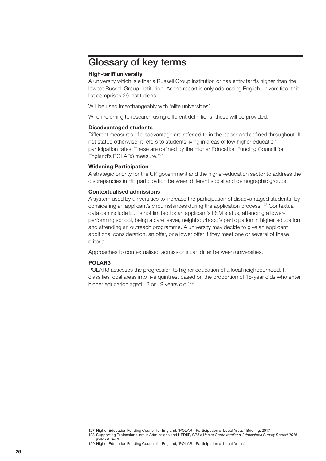### <span id="page-27-0"></span>Glossary of key terms

#### **High-tariff university**

A university which is either a Russell Group institution or has entry tariffs higher than the lowest Russell Group institution. As the report is only addressing English universities, this list comprises 29 institutions.

Will be used interchangeably with 'elite universities'.

When referring to research using different definitions, these will be provided.

#### **Disadvantaged students**

Different measures of disadvantage are referred to in the paper and defined throughout. If not stated otherwise, it refers to students living in areas of low higher education participation rates. These are defined by the Higher Education Funding Council for England's POLAR3 measure.<sup>127</sup>

#### **Widening Participation**

A strategic priority for the UK government and the higher-education sector to address the discrepancies in HE participation between different social and demographic groups.

#### **Contextualised admissions**

A system used by universities to increase the participation of disadvantaged students, by considering an applicant's circumstances during the application process.128 Contextual data can include but is not limited to: an applicant's FSM status, attending a lowerperforming school, being a care leaver, neighbourhood's participation in higher education and attending an outreach programme. A university may decide to give an applicant additional consideration, an offer, or a lower offer if they meet one or several of these criteria.

Approaches to contextualised admissions can differ between universities.

#### **POLAR3**

POLAR3 assesses the progression to higher education of a local neighbourhood. It classifies local areas into five quintiles, based on the proportion of 18-year olds who enter higher education aged 18 or 19 years old.<sup>129</sup>

<sup>127</sup> Higher Education Funding Council for England, 'POLAR – Participation of Local Areas', Briefing, 2017.

<sup>128</sup> Supporting Professionalism in Admissions and HEDIIP, *SPA's Use of Contextualised Admissions Survey Report 2015 (with HEDIIP)*.

<sup>129</sup> Higher Education Funding Council for England, 'POLAR – Participation of Local Areas'.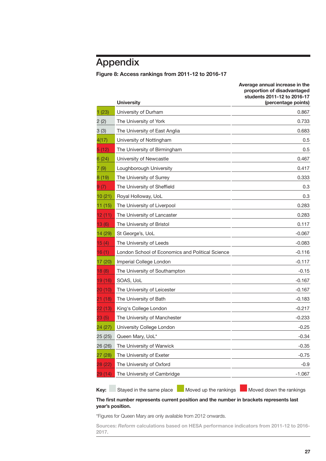## <span id="page-28-0"></span>Appendix

#### **Figure 8: Access rankings from 2011-12 to 2016-17**

|         | <b>University</b>                                | Average annual increase in the<br>proportion of disadvantaged<br>students 2011-12 to 2016-17<br>(percentage points) |
|---------|--------------------------------------------------|---------------------------------------------------------------------------------------------------------------------|
| 1(23)   | University of Durham                             | 0.867                                                                                                               |
| 2 (2)   | The University of York                           | 0.733                                                                                                               |
| 3(3)    | The University of East Anglia                    | 0.683                                                                                                               |
| 4(17)   | University of Nottingham                         | 0.5                                                                                                                 |
| 5(12)   | The University of Birmingham                     | 0.5                                                                                                                 |
| 6 (24)  | University of Newcastle                          | 0.467                                                                                                               |
| 7(9)    | Loughborough University                          | 0.417                                                                                                               |
| 8(19)   | The University of Surrey                         | 0.333                                                                                                               |
| 9 (7)   | The University of Sheffield                      | 0.3                                                                                                                 |
| 10(21)  | Royal Holloway, UoL                              | 0.3                                                                                                                 |
| 11(15)  | The University of Liverpool                      | 0.283                                                                                                               |
| 12(11)  | The University of Lancaster                      | 0.283                                                                                                               |
| 13(6)   | The University of Bristol                        | 0.117                                                                                                               |
| 14 (29) | St George's, UoL                                 | $-0.067$                                                                                                            |
| 15(4)   | The University of Leeds                          | $-0.083$                                                                                                            |
| 16(1)   | London School of Economics and Political Science | $-0.116$                                                                                                            |
| 17 (20) | Imperial College London                          | $-0.117$                                                                                                            |
| 18(8)   | The University of Southampton                    | $-0.15$                                                                                                             |
| 19 (16) | SOAS, UoL                                        | $-0.167$                                                                                                            |
| 20 (10) | The University of Leicester                      | $-0.167$                                                                                                            |
| 21 (18) | The University of Bath                           | $-0.183$                                                                                                            |
| 22 (13) | King's College London                            | $-0.217$                                                                                                            |
| 23 (5)  | The University of Manchester                     | $-0.233$                                                                                                            |
| 24 (27) | University College London                        | $-0.25$                                                                                                             |
| 25 (25) | Queen Mary, UoL*                                 | $-0.34$                                                                                                             |
| 26 (26) | The University of Warwick                        | $-0.35$                                                                                                             |
| 27 (28) | The University of Exeter                         | $-0.75$                                                                                                             |
| 28 (22) | The University of Oxford                         | $-0.9$                                                                                                              |
| 29 (14) | The University of Cambridge                      | $-1.067$                                                                                                            |
|         |                                                  |                                                                                                                     |

**Key:** Stayed in the same place Moved up the rankings Moved down the rankings

**Average annual increase in the** 

#### **The first number represents current position and the number in brackets represents last year's position.**

\*Figures for Queen Mary are only available from 2012 onwards.

**Sources:** *Reform* **calculations based on HESA performance indicators from 2011-12 to 2016- 2017.**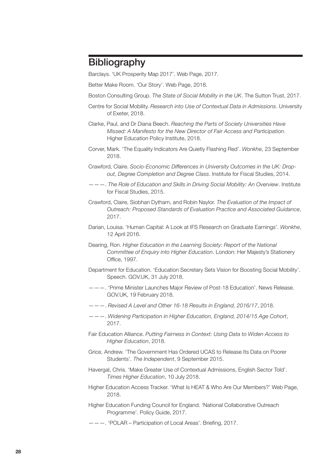### <span id="page-29-0"></span>**Bibliography**

Barclays. 'UK Prosperity Map 2017'. Web Page, 2017.

Better Make Room. 'Our Story'. Web Page, 2018.

Boston Consulting Group. *The State of Social Mobility in the UK*. The Sutton Trust, 2017.

- Centre for Social Mobility. *Research into Use of Contextual Data in Admissions*. University of Exeter, 2018.
- Clarke, Paul, and Dr Diana Beech. *Reaching the Parts of Society Universities Have Missed: A Manifesto for the New Director of Fair Access and Participation*. Higher Education Policy Institute, 2018.
- Corver, Mark. 'The Equality Indicators Are Quietly Flashing Red'. *Wonkhe*, 23 September 2018.
- Crawford, Claire. *Socio-Economic Differences in University Outcomes in the UK: Dropout, Degree Completion and Degree Class*. Institute for Fiscal Studies, 2014.
- ———. *The Role of Education and Skills in Driving Social Mobility: An Overview*. Institute for Fiscal Studies, 2015.
- Crawford, Claire, Siobhan Dytham, and Robin Naylor. *The Evaluation of the Impact of Outreach: Proposed Standards of Evaluation Practice and Associated Guidance*, 2017.
- Darian, Louisa. 'Human Capital: A Look at IFS Research on Graduate Earnings'. *Wonkhe*, 12 April 2016.
- Dearing, Ron. *Higher Education in the Learning Society: Report of the National Committee of Enquiry into Higher Education*. London: Her Majesty's Stationery Office, 1997.
- Department for Education. 'Education Secretary Sets Vision for Boosting Social Mobility'. Speech. GOV.UK, 31 July 2018.
- ———. 'Prime Minister Launches Major Review of Post-18 Education'. News Release. GOV.UK, 19 February 2018.
- ———. *Revised A Level and Other 16-18 Results in England, 2016/17*, 2018.
- ———. *Widening Participation in Higher Education, England, 2014/15 Age Cohort*, 2017.
- Fair Education Alliance. *Putting Fairness in Context: Using Data to Widen Access to Higher Education*, 2018.
- Grice, Andrew. 'The Government Has Ordered UCAS to Release Its Data on Poorer Students'. *The Independent*, 9 September 2015.
- Havergal, Chris. 'Make Greater Use of Contextual Admissions, English Sector Told'. *Times Higher Education*, 10 July 2018.
- Higher Education Access Tracker. 'What Is HEAT & Who Are Our Members?' Web Page, 2018.
- Higher Education Funding Council for England. 'National Collaborative Outreach Programme'. Policy Guide, 2017.
- ———. 'POLAR Participation of Local Areas'. Briefing, 2017.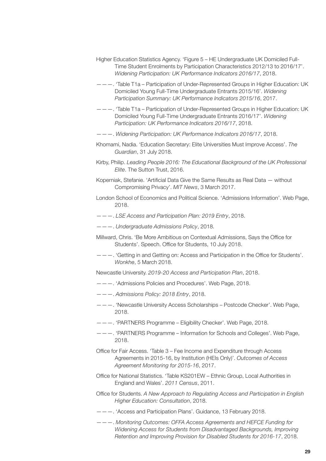- Higher Education Statistics Agency. 'Figure 5 HE Undergraduate UK Domiciled Full-Time Student Enrolments by Participation Characteristics 2012/13 to 2016/17'. *Widening Participation: UK Performance Indicators 2016/17*, 2018.
- ———. 'Table T1a Participation of Under-Represented Groups in Higher Education: UK Domiciled Young Full-Time Undergraduate Entrants 2015/16'. *Widening Participation Summary: UK Performance Indicators 2015/16*, 2017.
- ———. 'Table T1a Participation of Under-Represented Groups in Higher Education: UK Domiciled Young Full-Time Undergraduate Entrants 2016/17'. *Widening Participation: UK Performance Indicators 2016/17*, 2018.
- ———. *Widening Participation: UK Performance Indicators 2016/17*, 2018.
- Khomami, Nadia. 'Education Secretary: Elite Universities Must Improve Access'. *The Guardian*, 31 July 2018.
- Kirby, Philip. *Leading People 2016: The Educational Background of the UK Professional Elite*. The Sutton Trust, 2016.
- Koperniak, Stefanie. 'Artificial Data Give the Same Results as Real Data without Compromising Privacy'. *MIT News*, 3 March 2017.
- London School of Economics and Political Science. 'Admissions Information'. Web Page, 2018.
- ———. *LSE Access and Participation Plan: 2019 Entry*, 2018.
- ———. *Undergraduate Admissions Policy*, 2018.
- Millward, Chris. 'Be More Ambitious on Contextual Admissions, Says the Office for Students'. Speech. Office for Students, 10 July 2018.
- ———. 'Getting in and Getting on: Access and Participation in the Office for Students'. *Wonkhe*, 5 March 2018.
- Newcastle University. *2019-20 Access and Participation Plan*, 2018.
- ———. 'Admissions Policies and Procedures'. Web Page, 2018.
- ———. *Admissions Policy: 2018 Entry*, 2018.
- ———. 'Newcastle University Access Scholarships Postcode Checker'. Web Page, 2018.
- ———. 'PARTNERS Programme Eligibility Checker'. Web Page, 2018.
- ———. 'PARTNERS Programme Information for Schools and Colleges'. Web Page, 2018.
- Office for Fair Access. 'Table 3 Fee Income and Expenditure through Access Agreements in 2015-16, by Institution (HEIs Only)'. *Outcomes of Access Agreement Monitoring for 2015-16*, 2017.
- Office for National Statistics. 'Table KS201EW Ethnic Group, Local Authorities in England and Wales'. *2011 Census*, 2011.
- Office for Students. *A New Approach to Regulating Access and Participation in English Higher Education: Consultation*, 2018.
- ———. 'Access and Participation Plans'. Guidance, 13 February 2018.
- ———. *Monitoring Outcomes: OFFA Access Agreements and HEFCE Funding for Widening Access for Students from Disadvantaged Backgrounds, Improving Retention and Improving Provision for Disabled Students for 2016-17*, 2018.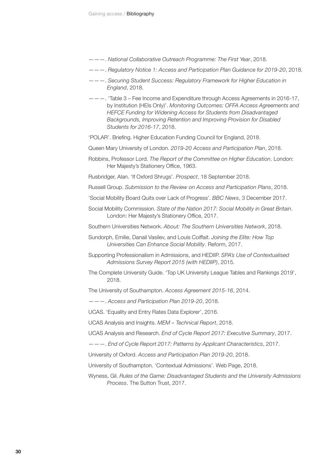- ———. *National Collaborative Outreach Programme: The First Year*, 2018.
- ———. *Regulatory Notice 1: Access and Participation Plan Guidance for 2019-20*, 2018.
- ———. *Securing Student Success: Regulatory Framework for Higher Education in England*, 2018.
- ———. 'Table 3 Fee Income and Expenditure through Access Agreements in 2016-17, by Institution (HEIs Only)'. *Monitoring Outcomes: OFFA Access Agreements and HEFCE Funding for Widening Access for Students from Disadvantaged Backgrounds, Improving Retention and Improving Provision for Disabled Students for 2016-17*, 2018.
- 'POLAR'. Briefing. Higher Education Funding Council for England, 2018.

Queen Mary University of London. *2019-20 Access and Participation Plan*, 2018.

- Robbins, Professor Lord. *The Report of the Committee on Higher Education*. London: Her Majesty's Stationery Office, 1963.
- Rusbridger, Alan. 'If Oxford Shrugs'. *Prospect*, 18 September 2018.

Russell Group. *Submission to the Review on Access and Participation Plans*, 2018.

- 'Social Mobility Board Quits over Lack of Progress'. *BBC News*, 3 December 2017.
- Social Mobility Commission. *State of the Nation 2017: Social Mobility in Great Britain*. London: Her Majesty's Stationery Office, 2017.
- Southern Universities Network. *About: The Southern Universities Network*, 2018.
- Sundorph, Emilie, Danail Vasilev, and Louis Coiffait. *Joining the Elite: How Top Universities Can Enhance Social Mobility*. Reform, 2017.
- Supporting Professionalism in Admissions, and HEDIIP. *SPA's Use of Contextualised Admissions Survey Report 2015 (with HEDIIP)*, 2015.
- The Complete University Guide. 'Top UK University League Tables and Rankings 2019', 2018.

The University of Southampton. *Access Agreement 2015-16*, 2014.

———. *Access and Participation Plan 2019-20*, 2018.

UCAS. 'Equality and Entry Rates Data Explorer', 2016.

UCAS Analysis and Insights. *MEM – Technical Report*, 2018.

UCAS Analysis and Research. *End of Cycle Report 2017: Executive Summary*, 2017.

———. *End of Cycle Report 2017: Patterns by Applicant Characteristics*, 2017.

University of Oxford. *Access and Participation Plan 2019-20*, 2018.

University of Southampton. 'Contextual Admissions'. Web Page, 2018.

Wyness, Gil. *Rules of the Game: Disadvantaged Students and the University Admissions Process*. The Sutton Trust, 2017.